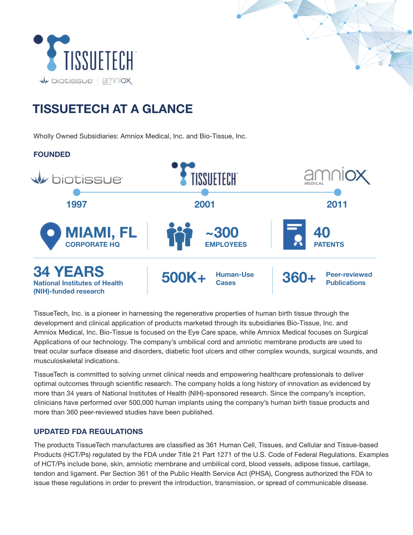

# TISSUETECH AT A GLANCE

Wholly Owned Subsidiaries: Amniox Medical, Inc. and Bio-Tissue, Inc.



TissueTech, Inc. is a pioneer in harnessing the regenerative properties of human birth tissue through the development and clinical application of products marketed through its subsidiaries Bio-Tissue, Inc. and Amniox Medical, Inc. Bio-Tissue is focused on the Eye Care space, while Amniox Medical focuses on Surgical Applications of our technology. The company's umbilical cord and amniotic membrane products are used to treat ocular surface disease and disorders, diabetic foot ulcers and other complex wounds, surgical wounds, and musculoskeletal indications.

TissueTech is committed to solving unmet clinical needs and empowering healthcare professionals to deliver optimal outcomes through scientific research. The company holds a long history of innovation as evidenced by more than 34 years of National Institutes of Health (NIH)-sponsored research. Since the company's inception, clinicians have performed over 500,000 human implants using the company's human birth tissue products and more than 360 peer-reviewed studies have been published.

### UPDATED FDA REGULATIONS

The products TissueTech manufactures are classified as 361 Human Cell, Tissues, and Cellular and Tissue-based Products (HCT/Ps) regulated by the FDA under Title 21 Part 1271 of the U.S. Code of Federal Regulations. Examples of HCT/Ps include bone, skin, amniotic membrane and umbilical cord, blood vessels, adipose tissue, cartilage, tendon and ligament. Per Section 361 of the Public Health Service Act (PHSA), Congress authorized the FDA to issue these regulations in order to prevent the introduction, transmission, or spread of communicable disease.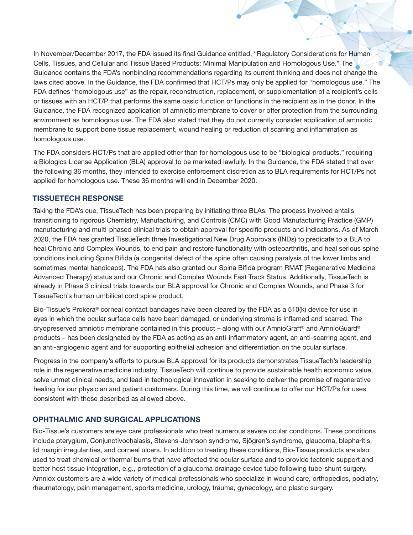In November/December 2017, the FDA issued its final Guidance entitled, ["Regulatory Considerations for Human](https://www.fda.gov/media/124138/download) [Cells, Tissues, and Cellular and Tissue Based Products: Minimal Manipulation and Homologous Use."](https://www.fda.gov/media/124138/download) The Guidance contains the FDA's nonbinding recommendations regarding its current thinking and does not change the laws cited above. In the Guidance, the FDA confirmed that HCT/Ps may only be applied for "homologous use." The FDA defines "homologous use" as the repair, reconstruction, replacement, or supplementation of a recipient's cells or tissues with an HCT/P that performs the same basic function or functions in the recipient as in the donor. In the Guidance, the FDA recognized application of amniotic membrane to cover or offer protection from the surrounding environment as homologous use. The FDA also stated that they do not currently consider application of amniotic membrane to support bone tissue replacement, wound healing or reduction of scarring and inflammation as homologous use.

The FDA considers HCT/Ps that are applied other than for homologous use to be "biological products," requiring a Biologics License Application (BLA) approval to be marketed lawfully. In the Guidance, the FDA stated that over the following 36 months, they intended to exercise enforcement discretion as to BLA requirements for HCT/Ps not applied for homologous use. These 36 months will end in December 2020.

### TISSUETECH RESPONSE

Taking the FDA's cue, TissueTech has been preparing by initiating three BLAs. The process involved entails transitioning to rigorous Chemistry, Manufacturing, and Controls (CMC) with Good Manufacturing Practice (GMP) manufacturing and multi-phased clinical trials to obtain approval for specific products and indications. As of March 2020, the FDA has granted TissueTech three Investigational New Drug Approvals (INDs) to predicate to a BLA to heal Chronic and Complex Wounds, to end pain and restore functionality with osteoarthritis, and heal serious spine conditions including Spina Bifida (a congenital defect of the spine often causing paralysis of the lower limbs and sometimes mental handicaps). The FDA has also granted our Spina Bifida program RMAT (Regenerative Medicine Advanced Therapy) status and our Chronic and Complex Wounds Fast Track Status. Additionally, TissueTech is already in Phase 3 clinical trials towards our BLA approval for Chronic and Complex Wounds, and Phase 3 for TissueTech's human umbilical cord spine product.

Bio-Tissue's Prokera® corneal contact bandages have been cleared by the FDA as a 510(k) device for use in eyes in which the ocular surface cells have been damaged, or underlying stroma is inflamed and scarred. The cryopreserved amniotic membrane contained in this product – along with our AmnioGraft® and AmnioGuard® products – has been designated by the FDA as acting as an anti-inflammatory agent, an anti-scarring agent, and an anti-angiogenic agent and for supporting epithelial adhesion and differentiation on the ocular surface.

Progress in the company's efforts to pursue BLA approval for its products demonstrates TissueTech's leadership role in the regenerative medicine industry. TissueTech will continue to provide sustainable health economic value, solve unmet clinical needs, and lead in technological innovation in seeking to deliver the promise of regenerative healing for our physician and patient customers. During this time, we will continue to offer our HCT/Ps for uses consistent with those described as allowed above.

#### OPHTHALMIC AND SURGICAL APPLICATIONS

Bio-Tissue's customers are eye care professionals who treat numerous severe ocular conditions. These conditions include pterygium, Conjunctivochalasis, Stevens-Johnson syndrome, Sjögren's syndrome, glaucoma, blepharitis, lid margin irregularities, and corneal ulcers. In addition to treating these conditions, Bio-Tissue products are also used to treat chemical or thermal burns that have affected the ocular surface and to provide tectonic support and better host tissue integration, e.g., protection of a glaucoma drainage device tube following tube-shunt surgery. Amniox customers are a wide variety of medical professionals who specialize in wound care, orthopedics, podiatry, rheumatology, pain management, sports medicine, urology, trauma, gynecology, and plastic surgery.